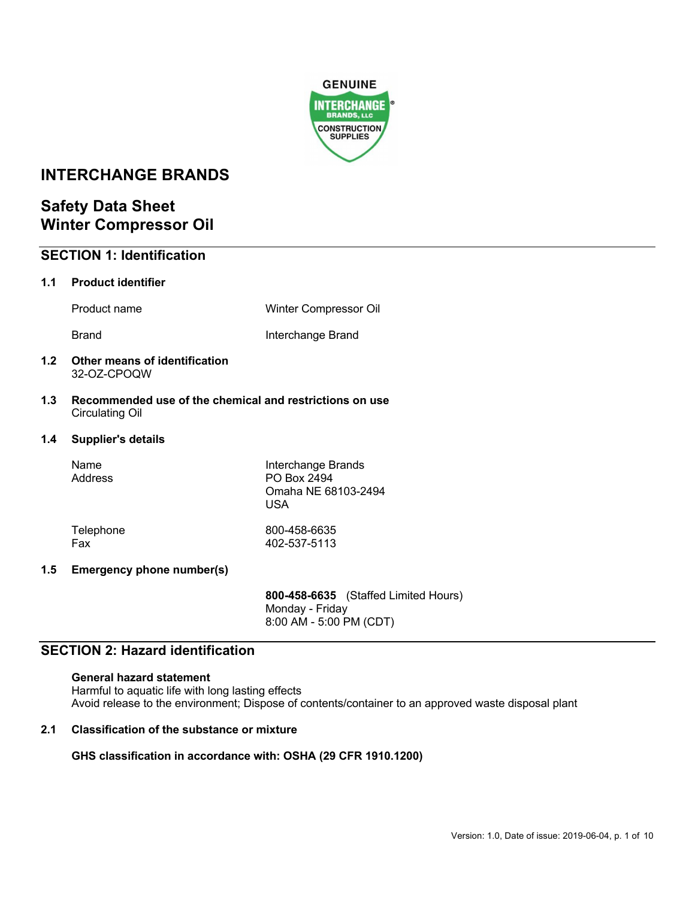

# **INTERCHANGE BRANDS**

# **Safety Data Sheet Winter Compressor Oil**

|     | <b>SECTION 1: Identification</b>                                                  |                                                                        |
|-----|-----------------------------------------------------------------------------------|------------------------------------------------------------------------|
| 1.1 | <b>Product identifier</b>                                                         |                                                                        |
|     | Product name                                                                      | Winter Compressor Oil                                                  |
|     | <b>Brand</b>                                                                      | Interchange Brand                                                      |
| 1.2 | Other means of identification<br>32-OZ-CPOQW                                      |                                                                        |
| 1.3 | Recommended use of the chemical and restrictions on use<br><b>Circulating Oil</b> |                                                                        |
| 1.4 | <b>Supplier's details</b>                                                         |                                                                        |
|     | Name<br>Address                                                                   | Interchange Brands<br>PO Box 2494<br>Omaha NE 68103-2494<br><b>USA</b> |
|     | Telephone<br>Fax                                                                  | 800-458-6635<br>402-537-5113                                           |
| 1.5 | <b>Emergency phone number(s)</b>                                                  |                                                                        |
|     |                                                                                   | 800-458-6635 (Staffed Limited Hours)                                   |

Monday - Friday 8:00 AM - 5:00 PM (CDT)

# **SECTION 2: Hazard identification**

### **General hazard statement**

Harmful to aquatic life with long lasting effects Avoid release to the environment; Dispose of contents/container to an approved waste disposal plant

## **2.1 Classification of the substance or mixture**

## **GHS classification in accordance with: OSHA (29 CFR 1910.1200)**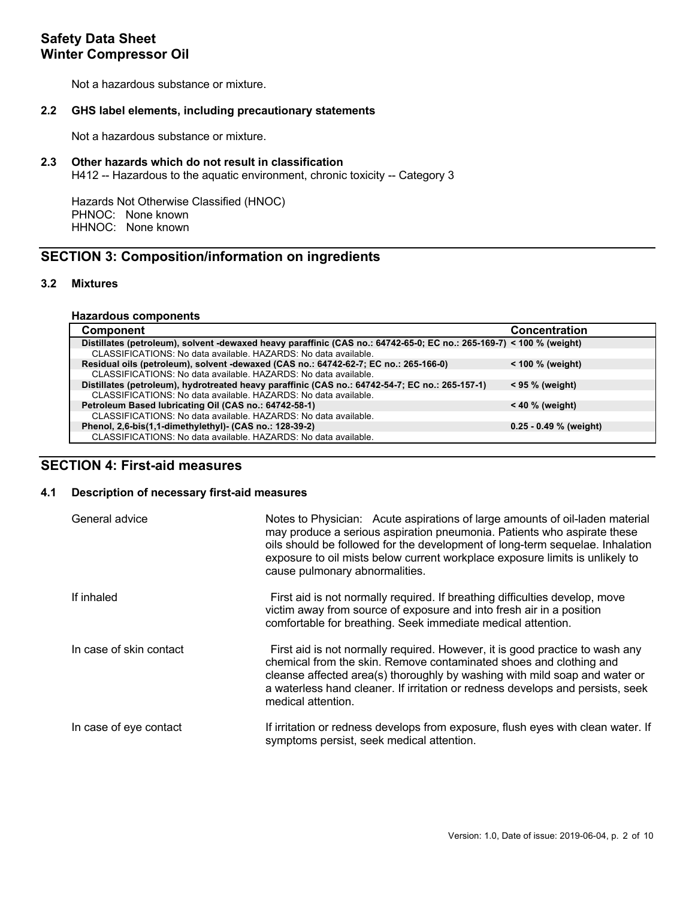Not a hazardous substance or mixture.

### **2.2 GHS label elements, including precautionary statements**

Not a hazardous substance or mixture.

### **2.3 Other hazards which do not result in classification**

H412 -- Hazardous to the aquatic environment, chronic toxicity -- Category 3

Hazards Not Otherwise Classified (HNOC) PHNOC: None known HHNOC: None known

# **SECTION 3: Composition/information on ingredients**

## **3.2 Mixtures**

#### **Hazardous components**

| <b>Component</b>                                                                                                     | <b>Concentration</b>     |
|----------------------------------------------------------------------------------------------------------------------|--------------------------|
| Distillates (petroleum), solvent -dewaxed heavy paraffinic (CAS no.: 64742-65-0; EC no.: 265-169-7) < 100 % (weight) |                          |
| CLASSIFICATIONS: No data available. HAZARDS: No data available.                                                      |                          |
| Residual oils (petroleum), solvent -dewaxed (CAS no.: 64742-62-7; EC no.: 265-166-0)                                 | $<$ 100 % (weight)       |
| CLASSIFICATIONS: No data available. HAZARDS: No data available.                                                      |                          |
| Distillates (petroleum), hydrotreated heavy paraffinic (CAS no.: 64742-54-7; EC no.: 265-157-1)                      | $< 95 \%$ (weight)       |
| CLASSIFICATIONS: No data available. HAZARDS: No data available.                                                      |                          |
| Petroleum Based lubricating Oil (CAS no.: 64742-58-1)                                                                | $< 40 \%$ (weight)       |
| CLASSIFICATIONS: No data available. HAZARDS: No data available.                                                      |                          |
| Phenol, 2,6-bis(1,1-dimethylethyl)- (CAS no.: 128-39-2)                                                              | $0.25 - 0.49$ % (weight) |
| CLASSIFICATIONS: No data available. HAZARDS: No data available.                                                      |                          |

# **SECTION 4: First-aid measures**

## **4.1 Description of necessary first-aid measures**

| General advice          | Notes to Physician: Acute aspirations of large amounts of oil-laden material<br>may produce a serious aspiration pneumonia. Patients who aspirate these<br>oils should be followed for the development of long-term sequelae. Inhalation<br>exposure to oil mists below current workplace exposure limits is unlikely to<br>cause pulmonary abnormalities. |
|-------------------------|------------------------------------------------------------------------------------------------------------------------------------------------------------------------------------------------------------------------------------------------------------------------------------------------------------------------------------------------------------|
| If inhaled              | First aid is not normally required. If breathing difficulties develop, move<br>victim away from source of exposure and into fresh air in a position<br>comfortable for breathing. Seek immediate medical attention.                                                                                                                                        |
| In case of skin contact | First aid is not normally required. However, it is good practice to wash any<br>chemical from the skin. Remove contaminated shoes and clothing and<br>cleanse affected area(s) thoroughly by washing with mild soap and water or<br>a waterless hand cleaner. If irritation or redness develops and persists, seek<br>medical attention.                   |
| In case of eye contact  | If irritation or redness develops from exposure, flush eyes with clean water. If<br>symptoms persist, seek medical attention.                                                                                                                                                                                                                              |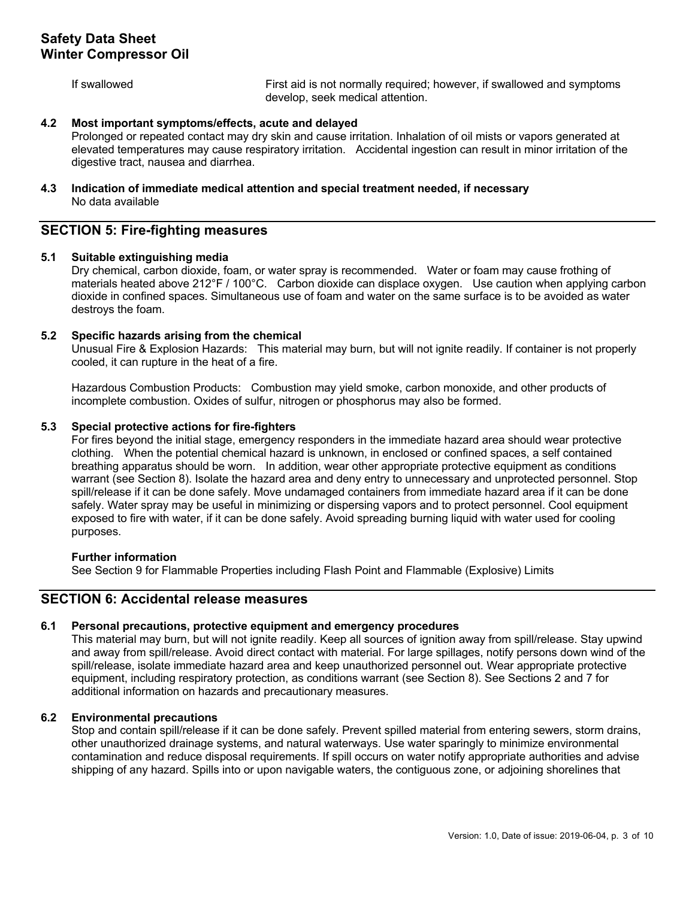If swallowed First aid is not normally required; however, if swallowed and symptoms develop, seek medical attention.

### **4.2 Most important symptoms/effects, acute and delayed**

Prolonged or repeated contact may dry skin and cause irritation. Inhalation of oil mists or vapors generated at elevated temperatures may cause respiratory irritation. Accidental ingestion can result in minor irritation of the digestive tract, nausea and diarrhea.

## **4.3 Indication of immediate medical attention and special treatment needed, if necessary** No data available

## **SECTION 5: Fire-fighting measures**

### **5.1 Suitable extinguishing media**

Dry chemical, carbon dioxide, foam, or water spray is recommended. Water or foam may cause frothing of materials heated above 212°F / 100°C. Carbon dioxide can displace oxygen. Use caution when applying carbon dioxide in confined spaces. Simultaneous use of foam and water on the same surface is to be avoided as water destroys the foam.

### **5.2 Specific hazards arising from the chemical**

Unusual Fire & Explosion Hazards: This material may burn, but will not ignite readily. If container is not properly cooled, it can rupture in the heat of a fire.

Hazardous Combustion Products: Combustion may yield smoke, carbon monoxide, and other products of incomplete combustion. Oxides of sulfur, nitrogen or phosphorus may also be formed.

### **5.3 Special protective actions for fire-fighters**

For fires beyond the initial stage, emergency responders in the immediate hazard area should wear protective clothing. When the potential chemical hazard is unknown, in enclosed or confined spaces, a self contained breathing apparatus should be worn. In addition, wear other appropriate protective equipment as conditions warrant (see Section 8). Isolate the hazard area and deny entry to unnecessary and unprotected personnel. Stop spill/release if it can be done safely. Move undamaged containers from immediate hazard area if it can be done safely. Water spray may be useful in minimizing or dispersing vapors and to protect personnel. Cool equipment exposed to fire with water, if it can be done safely. Avoid spreading burning liquid with water used for cooling purposes.

#### **Further information**

See Section 9 for Flammable Properties including Flash Point and Flammable (Explosive) Limits

## **SECTION 6: Accidental release measures**

## **6.1 Personal precautions, protective equipment and emergency procedures**

This material may burn, but will not ignite readily. Keep all sources of ignition away from spill/release. Stay upwind and away from spill/release. Avoid direct contact with material. For large spillages, notify persons down wind of the spill/release, isolate immediate hazard area and keep unauthorized personnel out. Wear appropriate protective equipment, including respiratory protection, as conditions warrant (see Section 8). See Sections 2 and 7 for additional information on hazards and precautionary measures.

## **6.2 Environmental precautions**

Stop and contain spill/release if it can be done safely. Prevent spilled material from entering sewers, storm drains, other unauthorized drainage systems, and natural waterways. Use water sparingly to minimize environmental contamination and reduce disposal requirements. If spill occurs on water notify appropriate authorities and advise shipping of any hazard. Spills into or upon navigable waters, the contiguous zone, or adjoining shorelines that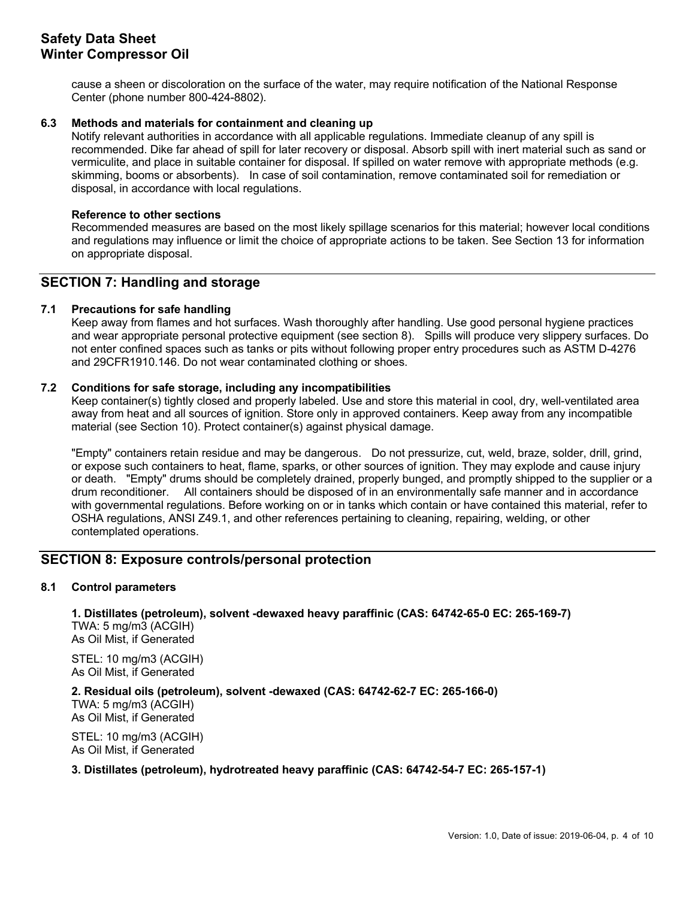cause a sheen or discoloration on the surface of the water, may require notification of the National Response Center (phone number 800-424-8802).

## **6.3 Methods and materials for containment and cleaning up**

Notify relevant authorities in accordance with all applicable regulations. Immediate cleanup of any spill is recommended. Dike far ahead of spill for later recovery or disposal. Absorb spill with inert material such as sand or vermiculite, and place in suitable container for disposal. If spilled on water remove with appropriate methods (e.g. skimming, booms or absorbents). In case of soil contamination, remove contaminated soil for remediation or disposal, in accordance with local regulations.

### **Reference to other sections**

Recommended measures are based on the most likely spillage scenarios for this material; however local conditions and regulations may influence or limit the choice of appropriate actions to be taken. See Section 13 for information on appropriate disposal.

## **SECTION 7: Handling and storage**

## **7.1 Precautions for safe handling**

Keep away from flames and hot surfaces. Wash thoroughly after handling. Use good personal hygiene practices and wear appropriate personal protective equipment (see section 8). Spills will produce very slippery surfaces. Do not enter confined spaces such as tanks or pits without following proper entry procedures such as ASTM D-4276 and 29CFR1910.146. Do not wear contaminated clothing or shoes.

## **7.2 Conditions for safe storage, including any incompatibilities**

Keep container(s) tightly closed and properly labeled. Use and store this material in cool, dry, well-ventilated area away from heat and all sources of ignition. Store only in approved containers. Keep away from any incompatible material (see Section 10). Protect container(s) against physical damage.

"Empty" containers retain residue and may be dangerous. Do not pressurize, cut, weld, braze, solder, drill, grind, or expose such containers to heat, flame, sparks, or other sources of ignition. They may explode and cause injury or death. "Empty" drums should be completely drained, properly bunged, and promptly shipped to the supplier or a drum reconditioner. All containers should be disposed of in an environmentally safe manner and in accordance with governmental regulations. Before working on or in tanks which contain or have contained this material, refer to OSHA regulations, ANSI Z49.1, and other references pertaining to cleaning, repairing, welding, or other contemplated operations.

# **SECTION 8: Exposure controls/personal protection**

## **8.1 Control parameters**

**1. Distillates (petroleum), solvent -dewaxed heavy paraffinic (CAS: 64742-65-0 EC: 265-169-7)**  TWA: 5 mg/m3 (ACGIH) As Oil Mist, if Generated

STEL: 10 mg/m3 (ACGIH) As Oil Mist, if Generated

**2. Residual oils (petroleum), solvent -dewaxed (CAS: 64742-62-7 EC: 265-166-0)**  TWA: 5 mg/m3 (ACGIH)

As Oil Mist, if Generated

STEL: 10 mg/m3 (ACGIH) As Oil Mist, if Generated

## **3. Distillates (petroleum), hydrotreated heavy paraffinic (CAS: 64742-54-7 EC: 265-157-1)**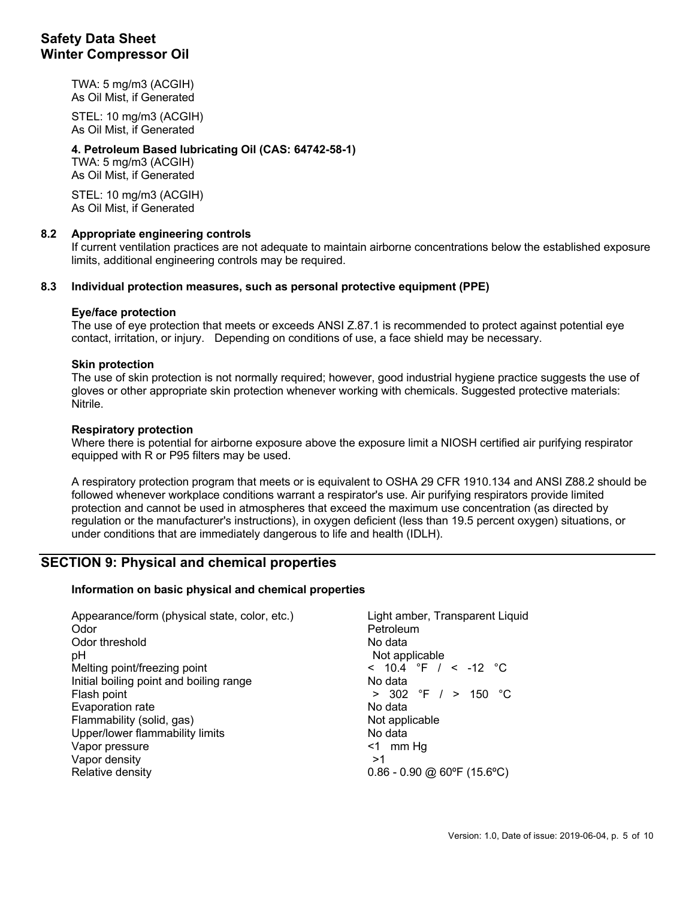TWA: 5 mg/m3 (ACGIH) As Oil Mist, if Generated

STEL: 10 mg/m3 (ACGIH) As Oil Mist, if Generated

## **4. Petroleum Based lubricating Oil (CAS: 64742-58-1)**

TWA: 5 mg/m3 (ACGIH) As Oil Mist, if Generated

STEL: 10 mg/m3 (ACGIH) As Oil Mist, if Generated

## **8.2 Appropriate engineering controls**

If current ventilation practices are not adequate to maintain airborne concentrations below the established exposure limits, additional engineering controls may be required.

### **8.3 Individual protection measures, such as personal protective equipment (PPE)**

### **Eye/face protection**

The use of eye protection that meets or exceeds ANSI Z.87.1 is recommended to protect against potential eye contact, irritation, or injury. Depending on conditions of use, a face shield may be necessary.

### **Skin protection**

The use of skin protection is not normally required; however, good industrial hygiene practice suggests the use of gloves or other appropriate skin protection whenever working with chemicals. Suggested protective materials: Nitrile.

#### **Respiratory protection**

Where there is potential for airborne exposure above the exposure limit a NIOSH certified air purifying respirator equipped with R or P95 filters may be used.

A respiratory protection program that meets or is equivalent to OSHA 29 CFR 1910.134 and ANSI Z88.2 should be followed whenever workplace conditions warrant a respirator's use. Air purifying respirators provide limited protection and cannot be used in atmospheres that exceed the maximum use concentration (as directed by regulation or the manufacturer's instructions), in oxygen deficient (less than 19.5 percent oxygen) situations, or under conditions that are immediately dangerous to life and health (IDLH).

## **SECTION 9: Physical and chemical properties**

## **Information on basic physical and chemical properties**

| Appearance/form (physical state, color, etc.)<br>Odor | Light amber, Transparent Liquid<br>Petroleum |
|-------------------------------------------------------|----------------------------------------------|
| Odor threshold                                        | No data                                      |
| pH                                                    | Not applicable                               |
| Melting point/freezing point                          | < 10.4 °F / < -12 °C                         |
| Initial boiling point and boiling range               | No data                                      |
| Flash point                                           | $> 302$ °F $/ >$<br>150 °C                   |
| Evaporation rate                                      | No data                                      |
| Flammability (solid, gas)                             | Not applicable                               |
| Upper/lower flammability limits                       | No data                                      |
| Vapor pressure                                        | <1 mm Hq                                     |
| Vapor density                                         | >1                                           |
| Relative density                                      | $0.86 - 0.90$ @ 60°F (15.6°C)                |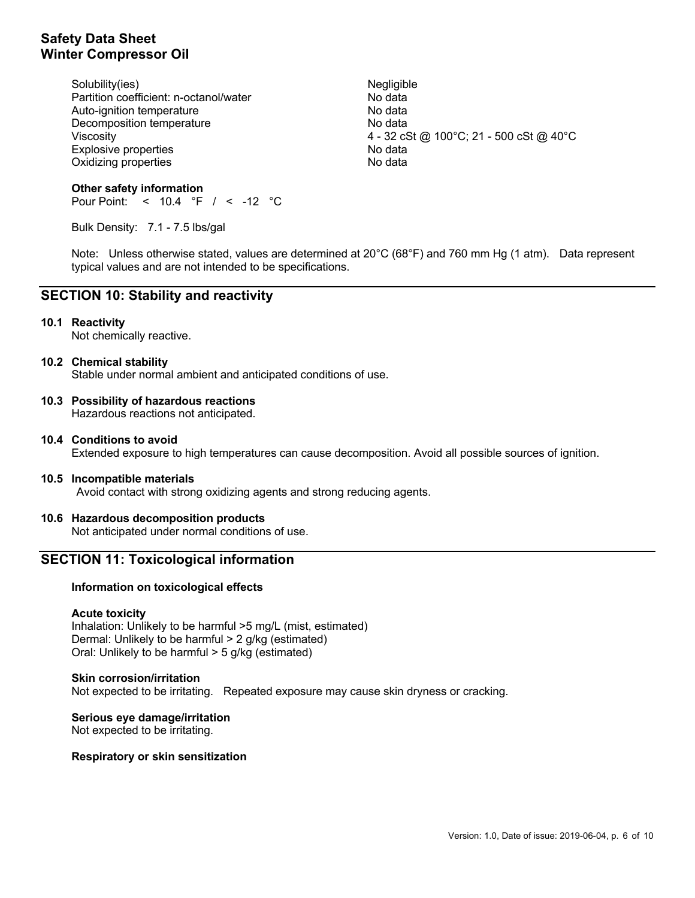Solubility(ies) Negligible 30 Partition coefficient: n-octanol/water No data Auto-ignition temperature No data Decomposition temperature No data Explosive properties and the state of the No data Oxidizing properties No data

Viscosity 4 - 32 cSt @ 100°C; 21 - 500 cSt @ 40°C

### **Other safety information** Pour Point: < 10.4 °F / < -12 °C

Bulk Density: 7.1 - 7.5 lbs/gal

Note: Unless otherwise stated, values are determined at 20°C (68°F) and 760 mm Hg (1 atm). Data represent typical values and are not intended to be specifications.

# **SECTION 10: Stability and reactivity**

### **10.1 Reactivity**

Not chemically reactive.

## **10.2 Chemical stability**

Stable under normal ambient and anticipated conditions of use.

## **10.3 Possibility of hazardous reactions**

Hazardous reactions not anticipated.

**10.4 Conditions to avoid** Extended exposure to high temperatures can cause decomposition. Avoid all possible sources of ignition.

## **10.5 Incompatible materials**

Avoid contact with strong oxidizing agents and strong reducing agents.

## **10.6 Hazardous decomposition products**

Not anticipated under normal conditions of use.

## **SECTION 11: Toxicological information**

## **Information on toxicological effects**

#### **Acute toxicity**

Inhalation: Unlikely to be harmful >5 mg/L (mist, estimated) Dermal: Unlikely to be harmful > 2 g/kg (estimated) Oral: Unlikely to be harmful > 5 g/kg (estimated)

#### **Skin corrosion/irritation**

Not expected to be irritating. Repeated exposure may cause skin dryness or cracking.

**Serious eye damage/irritation** Not expected to be irritating.

#### **Respiratory or skin sensitization**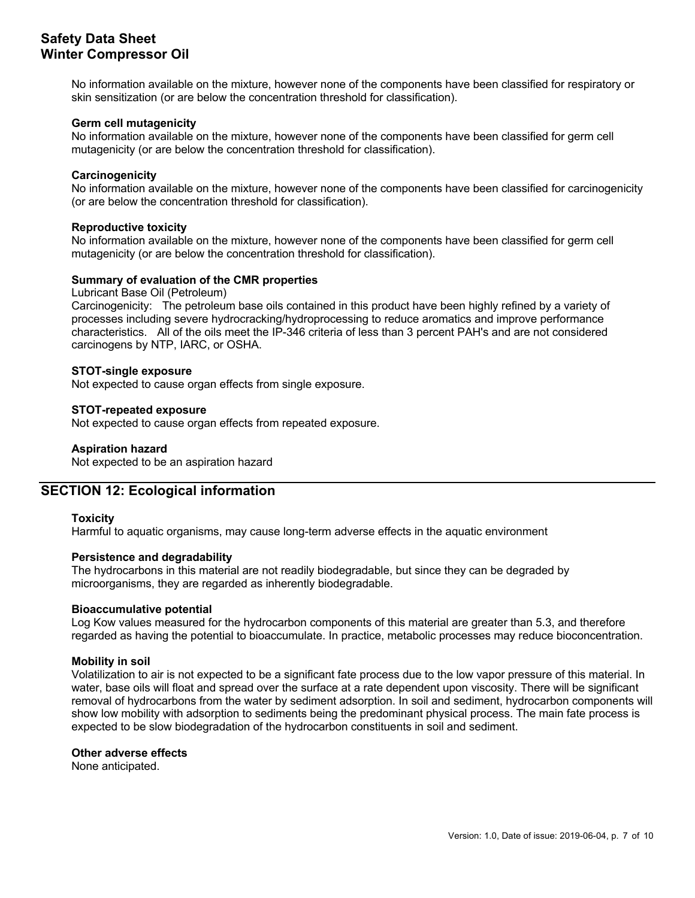No information available on the mixture, however none of the components have been classified for respiratory or skin sensitization (or are below the concentration threshold for classification).

### **Germ cell mutagenicity**

No information available on the mixture, however none of the components have been classified for germ cell mutagenicity (or are below the concentration threshold for classification).

### **Carcinogenicity**

No information available on the mixture, however none of the components have been classified for carcinogenicity (or are below the concentration threshold for classification).

#### **Reproductive toxicity**

No information available on the mixture, however none of the components have been classified for germ cell mutagenicity (or are below the concentration threshold for classification).

## **Summary of evaluation of the CMR properties**

#### Lubricant Base Oil (Petroleum)

Carcinogenicity: The petroleum base oils contained in this product have been highly refined by a variety of processes including severe hydrocracking/hydroprocessing to reduce aromatics and improve performance characteristics. All of the oils meet the IP-346 criteria of less than 3 percent PAH's and are not considered carcinogens by NTP, IARC, or OSHA.

#### **STOT-single exposure**

Not expected to cause organ effects from single exposure.

### **STOT-repeated exposure**

Not expected to cause organ effects from repeated exposure.

### **Aspiration hazard**

Not expected to be an aspiration hazard

## **SECTION 12: Ecological information**

#### **Toxicity**

Harmful to aquatic organisms, may cause long-term adverse effects in the aquatic environment

#### **Persistence and degradability**

The hydrocarbons in this material are not readily biodegradable, but since they can be degraded by microorganisms, they are regarded as inherently biodegradable.

#### **Bioaccumulative potential**

Log Kow values measured for the hydrocarbon components of this material are greater than 5.3, and therefore regarded as having the potential to bioaccumulate. In practice, metabolic processes may reduce bioconcentration.

### **Mobility in soil**

Volatilization to air is not expected to be a significant fate process due to the low vapor pressure of this material. In water, base oils will float and spread over the surface at a rate dependent upon viscosity. There will be significant removal of hydrocarbons from the water by sediment adsorption. In soil and sediment, hydrocarbon components will show low mobility with adsorption to sediments being the predominant physical process. The main fate process is expected to be slow biodegradation of the hydrocarbon constituents in soil and sediment.

#### **Other adverse effects**

None anticipated.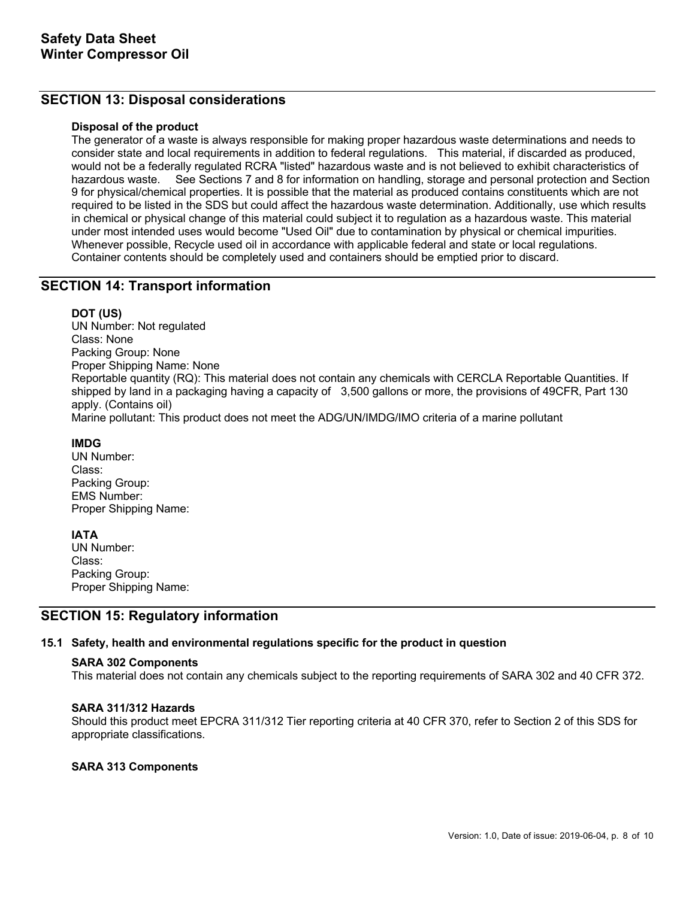# **SECTION 13: Disposal considerations**

### **Disposal of the product**

The generator of a waste is always responsible for making proper hazardous waste determinations and needs to consider state and local requirements in addition to federal regulations. This material, if discarded as produced, would not be a federally regulated RCRA "listed" hazardous waste and is not believed to exhibit characteristics of hazardous waste. See Sections 7 and 8 for information on handling, storage and personal protection and Section 9 for physical/chemical properties. It is possible that the material as produced contains constituents which are not required to be listed in the SDS but could affect the hazardous waste determination. Additionally, use which results in chemical or physical change of this material could subject it to regulation as a hazardous waste. This material under most intended uses would become "Used Oil" due to contamination by physical or chemical impurities. Whenever possible, Recycle used oil in accordance with applicable federal and state or local regulations. Container contents should be completely used and containers should be emptied prior to discard.

## **SECTION 14: Transport information**

### **DOT (US)**

UN Number: Not regulated Class: None Packing Group: None Proper Shipping Name: None Reportable quantity (RQ): This material does not contain any chemicals with CERCLA Reportable Quantities. If shipped by land in a packaging having a capacity of 3,500 gallons or more, the provisions of 49CFR, Part 130 apply. (Contains oil)

Marine pollutant: This product does not meet the ADG/UN/IMDG/IMO criteria of a marine pollutant

### **IMDG**

UN Number: Class: Packing Group: EMS Number: Proper Shipping Name:

#### **IATA**

UN Number: Class: Packing Group: Proper Shipping Name:

## **SECTION 15: Regulatory information**

## **15.1 Safety, health and environmental regulations specific for the product in question**

#### **SARA 302 Components**

This material does not contain any chemicals subject to the reporting requirements of SARA 302 and 40 CFR 372.

#### **SARA 311/312 Hazards**

Should this product meet EPCRA 311/312 Tier reporting criteria at 40 CFR 370, refer to Section 2 of this SDS for appropriate classifications.

## **SARA 313 Components**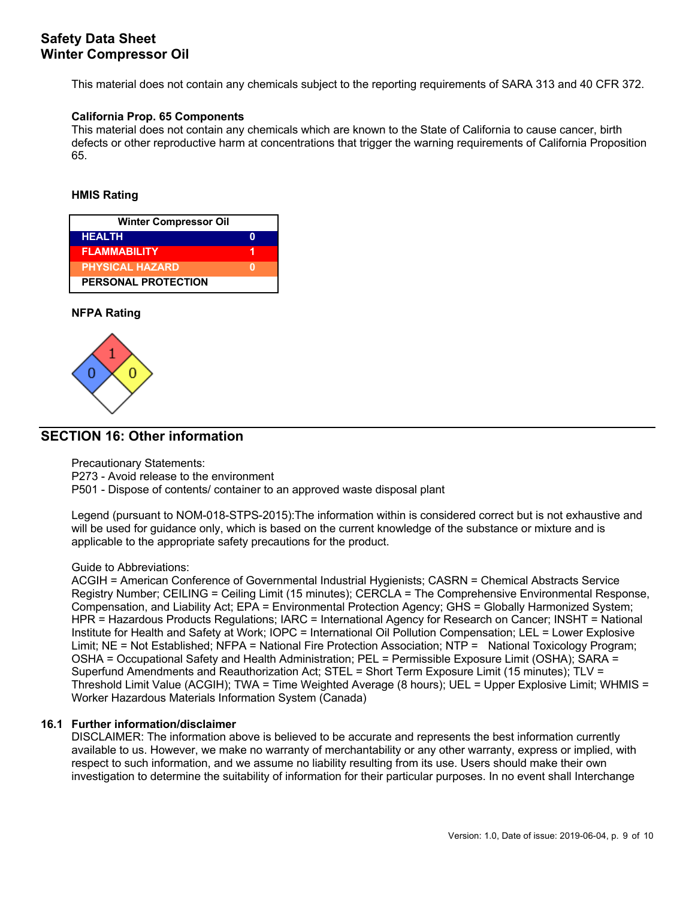This material does not contain any chemicals subject to the reporting requirements of SARA 313 and 40 CFR 372.

## **California Prop. 65 Components**

This material does not contain any chemicals which are known to the State of California to cause cancer, birth defects or other reproductive harm at concentrations that trigger the warning requirements of California Proposition 65.

### **HMIS Rating**

| <b>Winter Compressor Oil</b> |  |  |  |  |
|------------------------------|--|--|--|--|
| <b>HEALTH</b>                |  |  |  |  |
| <b>FLAMMABILITY</b>          |  |  |  |  |
| <b>PHYSICAL HAZARD</b>       |  |  |  |  |
| <b>PERSONAL PROTECTION</b>   |  |  |  |  |

### **NFPA Rating**



## **SECTION 16: Other information**

Precautionary Statements:

P273 - Avoid release to the environment

P501 - Dispose of contents/ container to an approved waste disposal plant

Legend (pursuant to NOM-018-STPS-2015):The information within is considered correct but is not exhaustive and will be used for guidance only, which is based on the current knowledge of the substance or mixture and is applicable to the appropriate safety precautions for the product.

## Guide to Abbreviations:

ACGIH = American Conference of Governmental Industrial Hygienists; CASRN = Chemical Abstracts Service Registry Number; CEILING = Ceiling Limit (15 minutes); CERCLA = The Comprehensive Environmental Response, Compensation, and Liability Act; EPA = Environmental Protection Agency; GHS = Globally Harmonized System; HPR = Hazardous Products Regulations; IARC = International Agency for Research on Cancer; INSHT = National Institute for Health and Safety at Work; IOPC = International Oil Pollution Compensation; LEL = Lower Explosive Limit; NE = Not Established; NFPA = National Fire Protection Association; NTP = National Toxicology Program; OSHA = Occupational Safety and Health Administration; PEL = Permissible Exposure Limit (OSHA); SARA = Superfund Amendments and Reauthorization Act; STEL = Short Term Exposure Limit (15 minutes); TLV = Threshold Limit Value (ACGIH); TWA = Time Weighted Average (8 hours); UEL = Upper Explosive Limit; WHMIS = Worker Hazardous Materials Information System (Canada)

## **16.1 Further information/disclaimer**

DISCLAIMER: The information above is believed to be accurate and represents the best information currently available to us. However, we make no warranty of merchantability or any other warranty, express or implied, with respect to such information, and we assume no liability resulting from its use. Users should make their own investigation to determine the suitability of information for their particular purposes. In no event shall Interchange